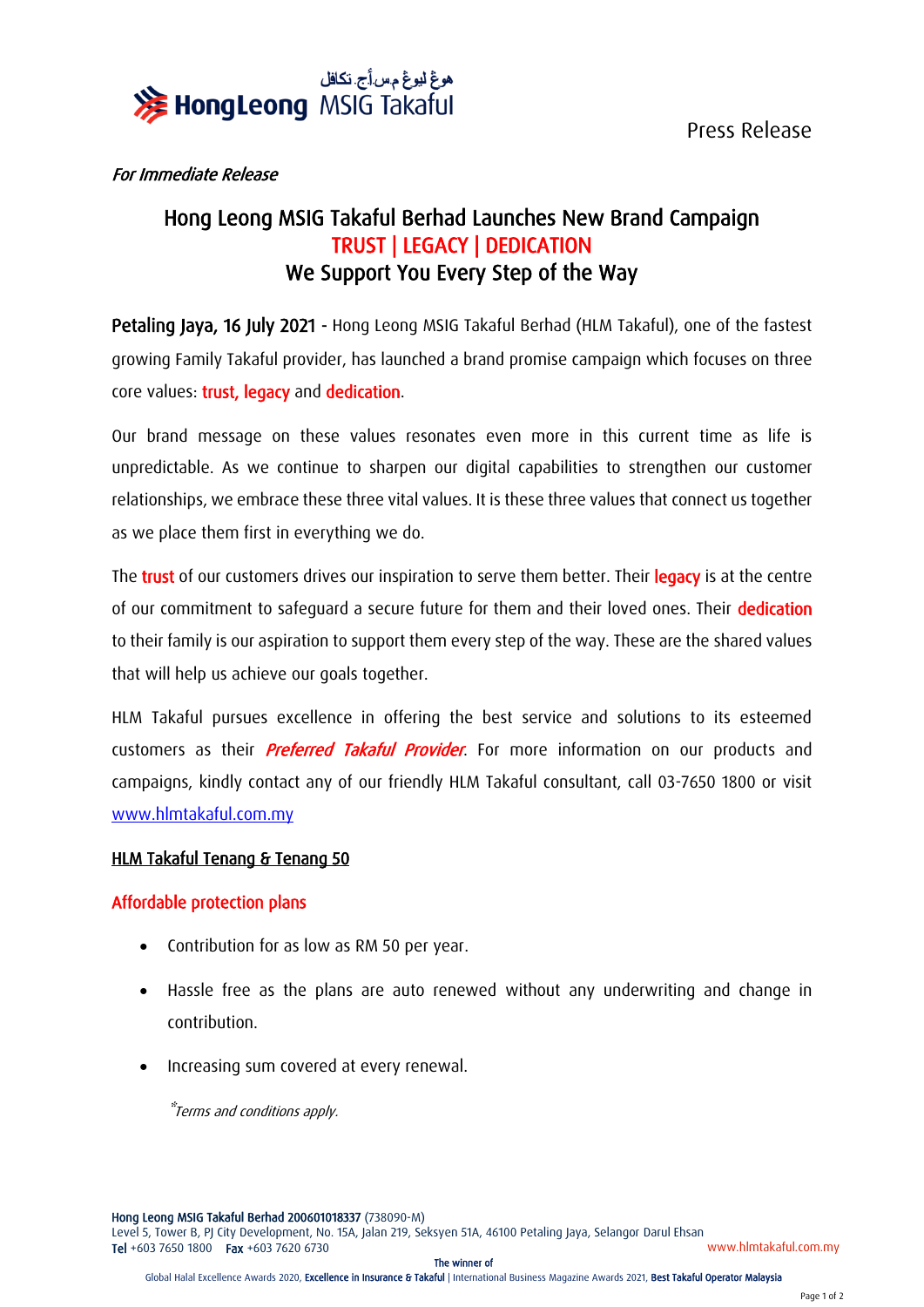

Press Release

## For Immediate Release

# Hong Leong MSIG Takaful Berhad Launches New Brand Campaign TRUST | LEGACY | DEDICATION We Support You Every Step of the Way

Petaling Jaya, 16 July 2021 - Hong Leong MSIG Takaful Berhad (HLM Takaful), one of the fastest growing Family Takaful provider, has launched a brand promise campaign which focuses on three core values: trust, legacy and dedication.

Our brand message on these values resonates even more in this current time as life is unpredictable. As we continue to sharpen our digital capabilities to strengthen our customer relationships, we embrace these three vital values. It is these three values that connect us together as we place them first in everything we do.

The trust of our customers drives our inspiration to serve them better. Their legacy is at the centre of our commitment to safeguard a secure future for them and their loved ones. Their dedication to their family is our aspiration to support them every step of the way. These are the shared values that will help us achieve our goals together.

HLM Takaful pursues excellence in offering the best service and solutions to its esteemed customers as their *Preferred Takaful Provider*. For more information on our products and campaigns, kindly contact any of our friendly HLM Takaful consultant, call 03-7650 1800 or visit [www.hlmtakaful.com.my](http://www.hlmtakaful.com.my/)

## HLM Takaful Tenang & Tenang 50

## Affordable protection plans

- Contribution for as low as RM 50 per year.
- Hassle free as the plans are auto renewed without any underwriting and change in contribution.
- Increasing sum covered at every renewal.

\*Terms and conditions apply.

Hong Leong MSIG Takaful Berhad 200601018337 (738090-M) Level 5, Tower B, PJ City Development, No. 15A, Jalan 219, Seksyen 51A, 46100 Petaling Jaya, Selangor Darul Ehsan Tel +603 7650 1800 Fax +603 7620 6730 www.hlmtakaful.com.my